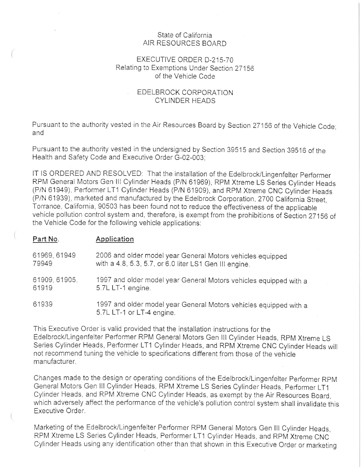## State of California AIR RESOURCES BOARD

## EXECUTIVE ORDER D-215-70 Relating to Exemptions Under Section 27156 of the Vehicle Code

## EDELBROCK CORPORATION CYLINDER HEADS

Pursuant to the authority vested in the Air Resources Board by Section 27156 of the Vehicle Code; and

Pursuant to the authority vested in the undersigned by Section 39515 and Section 39516 of the Health and Safety Code and Executive Order G-02-003;

IT IS ORDERED AND RESOLVED: That the installation of the Edelbrock/Lingenfelter Performer RPM General Motors Gen III Cylinder Heads (P/N 61969), RPM Xtreme LS Series Cylinder Heads (P/N 61949), Performer LT1 Cylinder Heads (P/N 61909), and RPM Xtreme CNC Cylinder Heads (P/N 61939), marketed and manufactured by the Edelbrock Corporation, 2700 California Street, Torrance, California, 90503 has been found not to reduce the effectiveness of the applicable vehicle pollution control system and, therefore, is exempt from the prohibitions of Section 27156 of the Vehicle Code for the following vehicle applications:

Part No. **Application** 

| 61969, 61949  | 2006 and older model year General Motors vehicles equipped                                     |
|---------------|------------------------------------------------------------------------------------------------|
| 79949         | with a 4.8, 5.3, 5.7, or 6.0 liter LS1 Gen III engine.                                         |
| 61909, 61905, | 1997 and older model year General Motors vehicles equipped with a                              |
| 61919         | 5.7L LT-1 engine.                                                                              |
| 61939         | 1997 and older model year General Motors vehicles equipped with a<br>5.7L LT-1 or LT-4 engine. |

This Executive Order is valid provided that the installation instructions for the Edelbrock/Lingenfelter Performer RPM General Motors Gen III Cylinder Heads, RPM Xtreme LS Series Cylinder Heads, Performer LT1 Cylinder Heads, and RPM Xtreme CNC Cylinder Heads will not recommend tuning the vehicle to specifications different from those of the vehicle manufacturer.

Changes made to the design or operating conditions of the Edelbrock/Lingenfelter Performer RPM General Motors Gen III Cylinder Heads, RPM Xtreme LS Series Cylinder Heads, Performer LT1 Cylinder Heads, and RPM Xtreme CNC Cylinder Heads, as exempt by the Air Resources Board, which adversely affect the performance of the vehicle's pollution control system shall invalidate this Executive Order.

Marketing of the Edelbrock/Lingenfelter Performer RPM General Motors Gen III Cylinder Heads, RPM Xtreme LS Series Cylinder Heads, Performer LT1 Cylinder Heads, and RPM Xtreme CNC Cylinder Heads using any identification other than that shown in this Executive Order or marketing